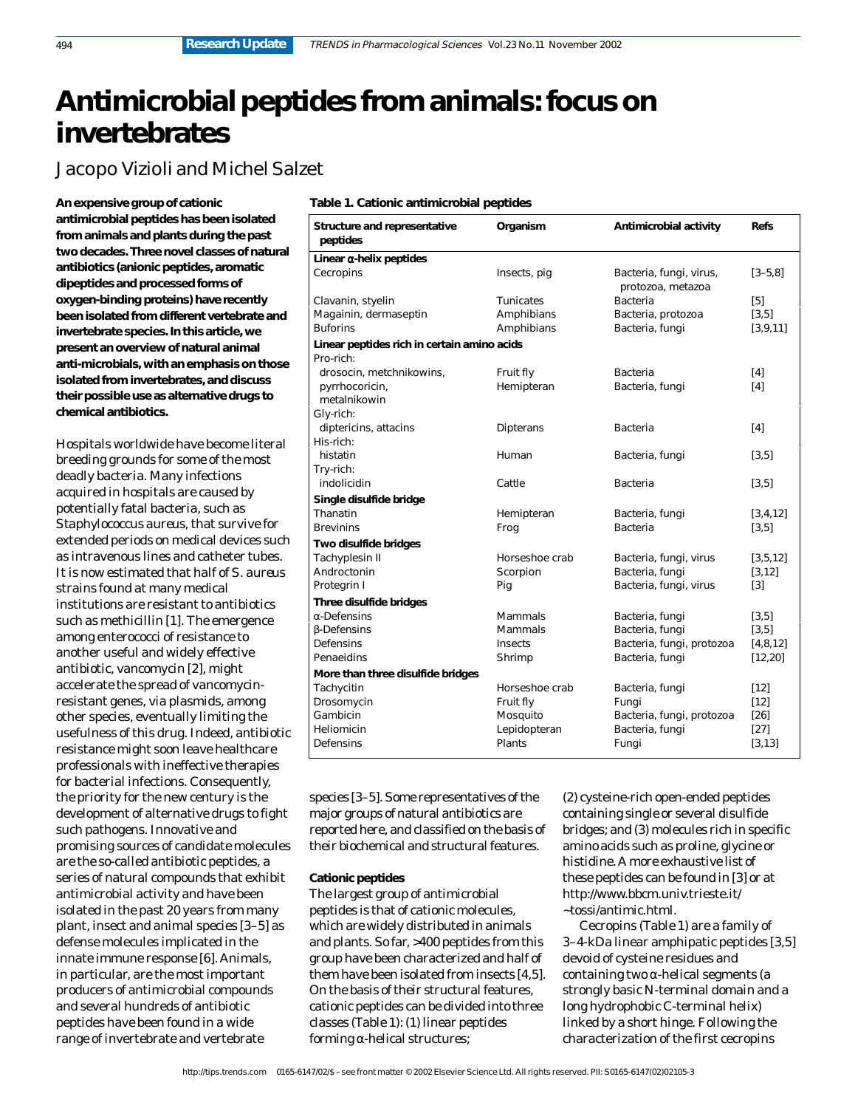# **Antimicrobial peptides from animals: focus on invertebrates**

Jacopo Vizioli and Michel Salzet

**An expensive group of cationic antimicrobial peptides has been isolated from animals and plants during the past two decades. Three novel classes of natural antibiotics (anionic peptides, aromatic dipeptides and processed forms of oxygen-binding proteins) have recently been isolated from different vertebrate and invertebrate species. In this article, we present an overview of natural animal anti-microbials, with an emphasis on those isolated from invertebrates, and discuss their possible use as alternative drugs to chemical antibiotics.**

Hospitals worldwide have become literal breeding grounds for some of the most deadly bacteria. Many infections acquired in hospitals are caused by potentially fatal bacteria, such as *Staphylococcus aureus*, that survive for extended periods on medical devices such as intravenous lines and catheter tubes. It is now estimated that half of *S. aureus* strains found at many medical institutions are resistant to antibiotics such as methicillin [1]. The emergence among enterococci of resistance to another useful and widely effective antibiotic, vancomycin [2], might accelerate the spread of vancomycinresistant genes, via plasmids, among other species, eventually limiting the usefulness of this drug. Indeed, antibiotic resistance might soon leave healthcare professionals with ineffective therapies for bacterial infections. Consequently, the priority for the new century is the development of alternative drugs to fight such pathogens. Innovative and promising sources of candidate molecules are the so-called antibiotic peptides, a series of natural compounds that exhibit antimicrobial activity and have been isolated in the past 20 years from many plant, insect and animal species [3–5] as defense molecules implicated in the innate immune response [6]. Animals, in particular, are the most important producers of antimicrobial compounds and several hundreds of antibiotic peptides have been found in a wide range of invertebrate and vertebrate

## **Table 1. Cationic antimicrobial peptides**

| <b>Structure and representative</b><br>peptides          | Organism       | Antimicrobial activity                       | <b>Refs</b>       |
|----------------------------------------------------------|----------------|----------------------------------------------|-------------------|
| Linear α-helix peptides                                  |                |                                              |                   |
| Cecropins                                                | Insects, pig   | Bacteria, fungi, virus,<br>protozoa, metazoa | $[3 - 5.8]$       |
| Clavanin, styelin                                        | Tunicates      | Bacteria                                     | [5]               |
| Magainin, dermaseptin                                    | Amphibians     | Bacteria, protozoa                           | $[3,5]$           |
| <b>Buforins</b>                                          | Amphibians     | Bacteria, fungi                              | [3, 9, 11]        |
| Linear peptides rich in certain amino acids<br>Pro-rich: |                |                                              |                   |
| drosocin, metchnikowins,                                 | Fruit fly      | Bacteria                                     | $[4]$             |
| pyrrhocoricin,<br>metalnikowin                           | Hemipteran     | Bacteria, fungi                              | [4]               |
| Gly-rich:                                                |                |                                              |                   |
| diptericins, attacins<br>His-rich:                       | Dipterans      | Bacteria                                     | $[4]$             |
| histatin                                                 | Human          | Bacteria, fungi                              | $[3,5]$           |
| Try-rich:                                                |                |                                              |                   |
| indolicidin                                              | Cattle         | Bacteria                                     | $[3,5]$           |
| Single disulfide bridge                                  |                |                                              |                   |
| Thanatin                                                 | Hemipteran     | Bacteria, fungi                              | [3,4,12]          |
| Brevinins                                                | Frog           | Bacteria                                     | $[3,5]$           |
| Two disulfide bridges                                    |                |                                              |                   |
| Tachyplesin II                                           | Horseshoe crab | Bacteria, fungi, virus                       | [3,5,12]          |
| Androctonin                                              | Scorpion       | Bacteria, fungi                              | [3, 12]           |
| Protegrin I                                              | Pig            | Bacteria, fungi, virus                       | $\lceil 3 \rceil$ |
| Three disulfide bridges                                  |                |                                              |                   |
| α-Defensins                                              | Mammals        | Bacteria, fungi                              | $[3,5]$           |
| <b>B-Defensins</b>                                       | Mammals        | Bacteria, fungi                              | $[3,5]$           |
| Defensins                                                | Insects        | Bacteria, fungi, protozoa                    | [4,8,12]          |
| Penaeidins                                               | Shrimp         | Bacteria, fungi                              | [12, 20]          |
| More than three disulfide bridges                        |                |                                              |                   |
| Tachycitin                                               | Horseshoe crab | Bacteria, fungi                              | $[12]$            |
| Drosomycin                                               | Fruit fly      | Fungi                                        | $[12]$            |
| Gambicin                                                 | Mosquito       | Bacteria, fungi, protozoa                    | $[26]$            |
| Heliomicin                                               | Lepidopteran   | Bacteria, fungi                              | $[27]$            |
| Defensins                                                | Plants         | Fungi                                        | [3, 13]           |
|                                                          |                |                                              |                   |

species [3–5]. Some representatives of the major groups of natural antibiotics are reported here, and classified on the basis of their biochemical and structural features.

## **Cationic peptides**

The largest group of antimicrobial peptides is that of cationic molecules, which are widely distributed in animals and plants. So far, >400 peptides from this group have been characterized and half of them have been isolated from insects [4,5]. On the basis of their structural features, cationic peptides can be divided into three classes (Table 1): (1) linear peptides forming α-helical structures;

(2) cysteine-rich open-ended peptides containing single or several disulfide bridges; and (3) molecules rich in specific amino acids such as proline, glycine or histidine. A more exhaustive list of these peptides can be found in [3] or at http://www.bbcm.univ.trieste.it/ ~tossi/antimic.html.

Cecropins (Table 1) are a family of 3–4-kDa linear amphipatic peptides [3,5] devoid of cysteine residues and containing two α-helical segments (a strongly basic N-terminal domain and a long hydrophobic C-terminal helix) linked by a short hinge. Following the characterization of the first cecropins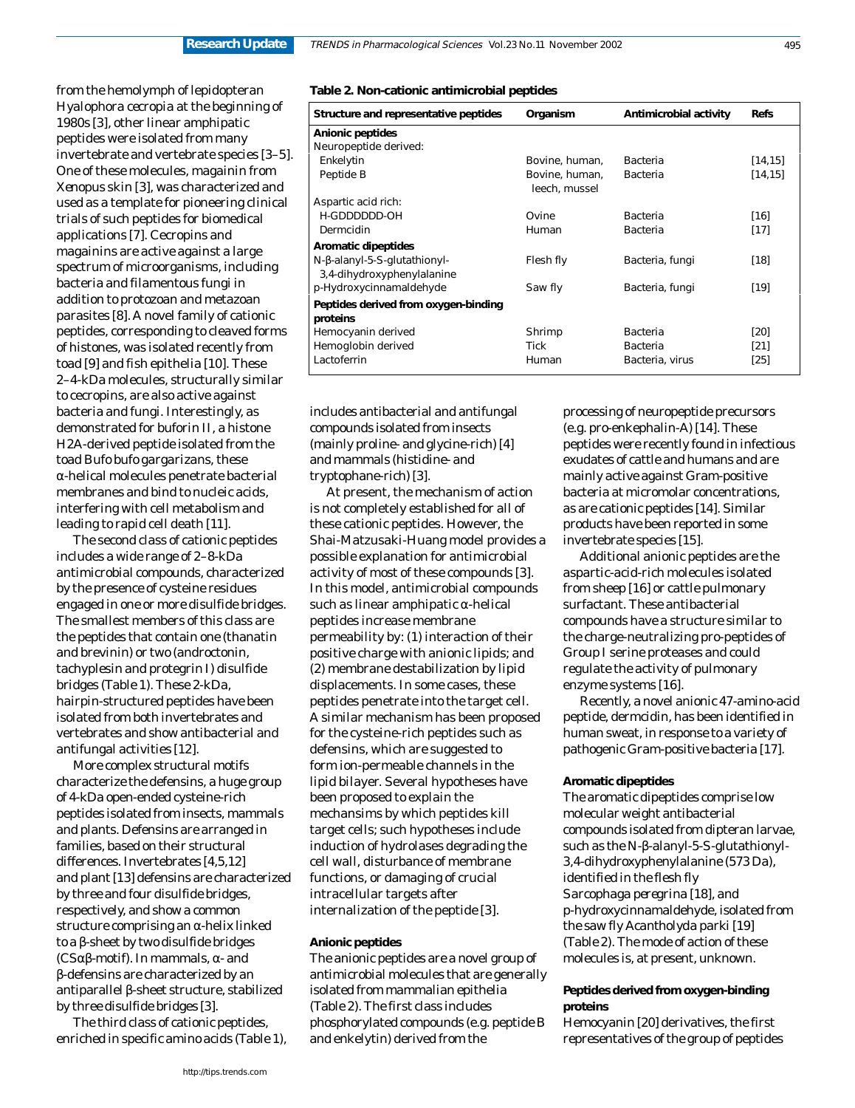from the hemolymph of lepidopteran *Hyalophora cecropia* at the beginning of 1980s [3], other linear amphipatic peptides were isolated from many invertebrate and vertebrate species [3–5]. One of these molecules, magainin from *Xenopus* skin [3], was characterized and used as a template for pioneering clinical trials of such peptides for biomedical applications [7]. Cecropins and magainins are active against a large spectrum of microorganisms, including bacteria and filamentous fungi in addition to protozoan and metazoan parasites [8]. A novel family of cationic peptides, corresponding to cleaved forms of histones, was isolated recently from toad [9] and fish epithelia [10]. These 2–4-kDa molecules, structurally similar to cecropins, are also active against bacteria and fungi. Interestingly, as demonstrated for buforin II, a histone H2A-derived peptide isolated from the toad *Bufo bufo gargarizans*, these α-helical molecules penetrate bacterial membranes and bind to nucleic acids, interfering with cell metabolism and leading to rapid cell death [11].

The second class of cationic peptides includes a wide range of 2–8-kDa antimicrobial compounds, characterized by the presence of cysteine residues engaged in one or more disulfide bridges. The smallest members of this class are the peptides that contain one (thanatin and brevinin) or two (androctonin, tachyplesin and protegrin I) disulfide bridges (Table 1). These 2-kDa, hairpin-structured peptides have been isolated from both invertebrates and vertebrates and show antibacterial and antifungal activities [12].

More complex structural motifs characterize the defensins, a huge group of 4-kDa open-ended cysteine-rich peptides isolated from insects, mammals and plants. Defensins are arranged in families, based on their structural differences. Invertebrates [4,5,12] and plant [13] defensins are characterized by three and four disulfide bridges, respectively, and show a common structure comprising an α-helix linked to a β-sheet by two disulfide bridges (CSαβ-motif). In mammals, α- and β-defensins are characterized by an antiparallel β-sheet structure, stabilized by three disulfide bridges [3].

The third class of cationic peptides, enriched in specific amino acids (Table 1),

#### **Table 2. Non-cationic antimicrobial peptides**

| Structure and representative peptides                      | Organism                        | Antimicrobial activity | <b>Refs</b> |
|------------------------------------------------------------|---------------------------------|------------------------|-------------|
| Anionic peptides                                           |                                 |                        |             |
| Neuropeptide derived:                                      |                                 |                        |             |
| Enkelytin                                                  | Bovine, human,                  | Bacteria               | [14, 15]    |
| Peptide B                                                  | Bovine, human,<br>leech, mussel | Bacteria               | [14, 15]    |
| Aspartic acid rich:                                        |                                 |                        |             |
| H-GDDDDDD-OH                                               | Ovine                           | Bacteria               | [16]        |
| Dermcidin                                                  | Human                           | Bacteria               | $[17]$      |
| Aromatic dipeptides                                        |                                 |                        |             |
| N-β-alanyl-5-S-glutathionyl-<br>3,4-dihydroxyphenylalanine | Flesh fly                       | Bacteria, fungi        | $[18]$      |
| $p$ -Hydroxycinnamaldehyde                                 | Saw fly                         | Bacteria, fungi        | [19]        |
| Peptides derived from oxygen-binding<br>proteins           |                                 |                        |             |
| Hemocyanin derived                                         | Shrimp                          | Bacteria               | [20]        |
| Hemoglobin derived                                         | Tick                            | Bacteria               | [21]        |
| Lactoferrin                                                | Human                           | Bacteria, virus        | [25]        |

includes antibacterial and antifungal compounds isolated from insects (mainly proline- and glycine-rich) [4] and mammals (histidine- and tryptophane-rich) [3].

At present, the mechanism of action is not completely established for all of these cationic peptides. However, the Shai-Matzusaki-Huang model provides a possible explanation for antimicrobial activity of most of these compounds [3]. In this model, antimicrobial compounds such as linear amphipatic α-helical peptides increase membrane permeability by: (1) interaction of their positive charge with anionic lipids; and (2) membrane destabilization by lipid displacements. In some cases, these peptides penetrate into the target cell. A similar mechanism has been proposed for the cysteine-rich peptides such as defensins, which are suggested to form ion-permeable channels in the lipid bilayer. Several hypotheses have been proposed to explain the mechansims by which peptides kill target cells; such hypotheses include induction of hydrolases degrading the cell wall, disturbance of membrane functions, or damaging of crucial intracellular targets after internalization of the peptide [3].

### **Anionic peptides**

The anionic peptides are a novel group of antimicrobial molecules that are generally isolated from mammalian epithelia (Table 2). The first class includes phosphorylated compounds (e.g. peptide B and enkelytin) derived from the

processing of neuropeptide precursors (e.g. pro-enkephalin-A) [14]. These peptides were recently found in infectious exudates of cattle and humans and are mainly active against Gram-positive bacteria at micromolar concentrations, as are cationic peptides [14]. Similar products have been reported in some invertebrate species [15].

Additional anionic peptides are the aspartic-acid-rich molecules isolated from sheep [16] or cattle pulmonary surfactant. These antibacterial compounds have a structure similar to the charge-neutralizing pro-peptides of Group I serine proteases and could regulate the activity of pulmonary enzyme systems [16].

Recently, a novel anionic 47-amino-acid peptide, dermcidin, has been identified in human sweat, in response to a variety of pathogenic Gram-positive bacteria [17].

#### **Aromatic dipeptides**

The aromatic dipeptides comprise low molecular weight antibacterial compounds isolated from dipteran larvae, such as the N-β-alanyl-5-*S*-glutathionyl-3,4-dihydroxyphenylalanine (573 Da), identified in the flesh fly *Sarcophaga peregrina* [18], and *p*-hydroxycinnamaldehyde, isolated from the saw fly *Acantholyda parki* [19] (Table 2). The mode of action of these molecules is, at present, unknown.

## **Peptides derived from oxygen-binding proteins**

Hemocyanin [20] derivatives, the first representatives of the group of peptides